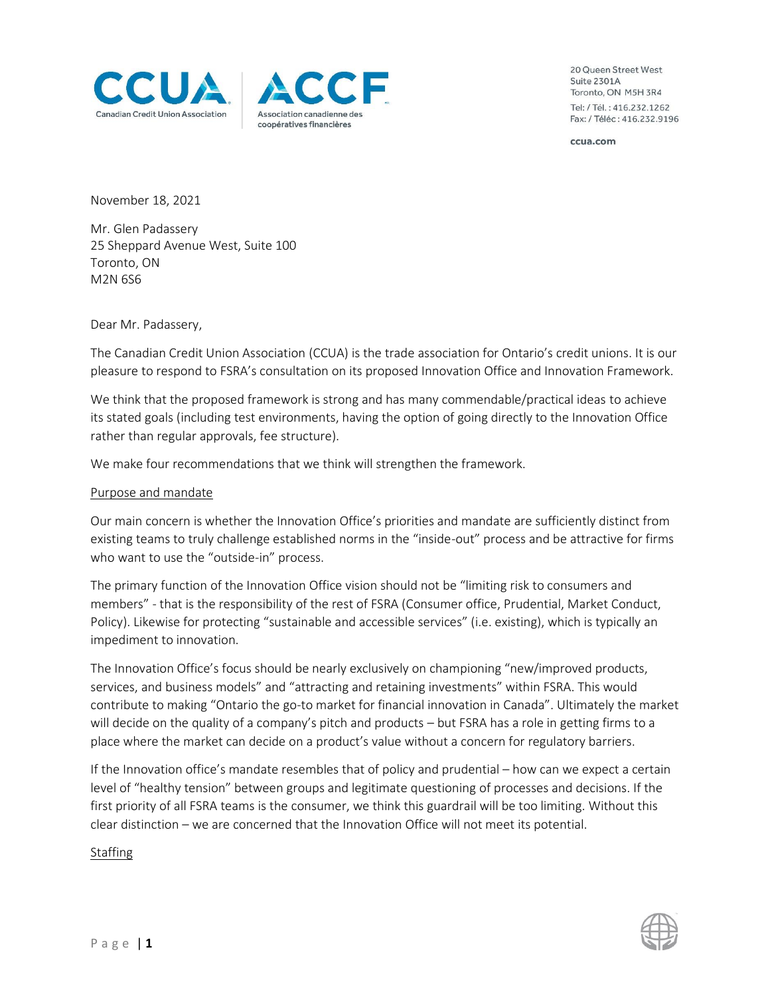



20 Queen Street West **Suite 2301A** Toronto, ON M5H 3R4 Tel: / Tél.: 416.232.1262 Fax: / Téléc: 416.232.9196

ccua.com

November 18, 2021

Mr. Glen Padassery 25 Sheppard Avenue West, Suite 100 Toronto, ON M2N 6S6

Dear Mr. Padassery,

The Canadian Credit Union Association (CCUA) is the trade association for Ontario's credit unions. It is our pleasure to respond to FSRA's consultation on its proposed Innovation Office and Innovation Framework.

We think that the proposed framework is strong and has many commendable/practical ideas to achieve its stated goals (including test environments, having the option of going directly to the Innovation Office rather than regular approvals, fee structure).

We make four recommendations that we think will strengthen the framework.

## Purpose and mandate

Our main concern is whether the Innovation Office's priorities and mandate are sufficiently distinct from existing teams to truly challenge established norms in the "inside-out" process and be attractive for firms who want to use the "outside-in" process.

The primary function of the Innovation Office vision should not be "limiting risk to consumers and members" - that is the responsibility of the rest of FSRA (Consumer office, Prudential, Market Conduct, Policy). Likewise for protecting "sustainable and accessible services" (i.e. existing), which is typically an impediment to innovation.

The Innovation Office's focus should be nearly exclusively on championing "new/improved products, services, and business models" and "attracting and retaining investments" within FSRA. This would contribute to making "Ontario the go-to market for financial innovation in Canada". Ultimately the market will decide on the quality of a company's pitch and products – but FSRA has a role in getting firms to a place where the market can decide on a product's value without a concern for regulatory barriers.

If the Innovation office's mandate resembles that of policy and prudential – how can we expect a certain level of "healthy tension" between groups and legitimate questioning of processes and decisions. If the first priority of all FSRA teams is the consumer, we think this guardrail will be too limiting. Without this clear distinction – we are concerned that the Innovation Office will not meet its potential.

**Staffing**